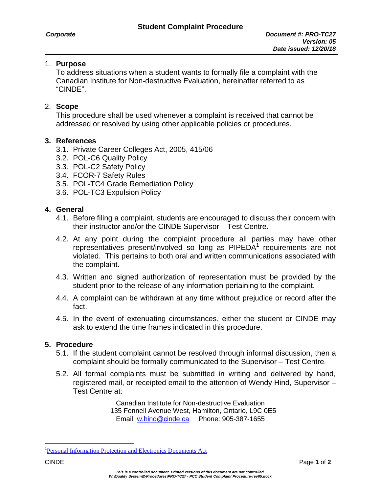### 1. **Purpose**

To address situations when a student wants to formally file a complaint with the Canadian Institute for Non-destructive Evaluation, hereinafter referred to as "CINDE".

## 2. **Scope**

This procedure shall be used whenever a complaint is received that cannot be addressed or resolved by using other applicable policies or procedures.

### **3. References**

- 3.1. Private Career Colleges Act, 2005, 415/06
- 3.2. POL-C6 Quality Policy
- 3.3. POL-C2 Safety Policy
- 3.4. FCOR-7 Safety Rules
- 3.5. POL-TC4 Grade Remediation Policy
- 3.6. POL-TC3 Expulsion Policy

### **4. General**

- 4.1. Before filing a complaint, students are encouraged to discuss their concern with their instructor and/or the CINDE Supervisor – Test Centre.
- 4.2. At any point during the complaint procedure all parties may have other representatives present/involved so long as PIPEDA<sup>1</sup> requirements are not violated. This pertains to both oral and written communications associated with the complaint.
- 4.3. Written and signed authorization of representation must be provided by the student prior to the release of any information pertaining to the complaint.
- 4.4. A complaint can be withdrawn at any time without prejudice or record after the fact.
- 4.5. In the event of extenuating circumstances, either the student or CINDE may ask to extend the time frames indicated in this procedure.

# **5. Procedure**

- 5.1. If the student complaint cannot be resolved through informal discussion, then a complaint should be formally communicated to the Supervisor – Test Centre.
- 5.2. All formal complaints must be submitted in writing and delivered by hand, registered mail, or receipted email to the attention of Wendy Hind, Supervisor – Test Centre at:

Canadian Institute for Non-destructive Evaluation 135 Fennell Avenue West, Hamilton, Ontario, L9C 0E5 Email: [w.hind@cinde.ca](mailto:w.hind@cinde.ca) Phone: 905-387-1655

 $\overline{a}$ 

<sup>&</sup>lt;sup>1</sup>[Personal Information Protection and Electronics Documents Act](https://www.priv.gc.ca/leg_c/leg_c_p_e.asp)